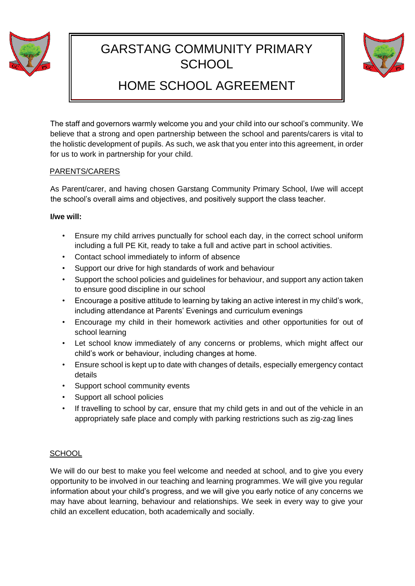

# GARSTANG COMMUNITY PRIMARY **SCHOOL**



# HOME SCHOOL AGREEMENT

The staff and governors warmly welcome you and your child into our school's community. We believe that a strong and open partnership between the school and parents/carers is vital to the holistic development of pupils. As such, we ask that you enter into this agreement, in order for us to work in partnership for your child.

## PARENTS/CARERS

As Parent/carer, and having chosen Garstang Community Primary School, I/we will accept the school's overall aims and objectives, and positively support the class teacher.

## **I/we will:**

- Ensure my child arrives punctually for school each day, in the correct school uniform including a full PE Kit, ready to take a full and active part in school activities.
- Contact school immediately to inform of absence
- Support our drive for high standards of work and behaviour
- Support the school policies and guidelines for behaviour, and support any action taken to ensure good discipline in our school
- Encourage a positive attitude to learning by taking an active interest in my child's work, including attendance at Parents' Evenings and curriculum evenings
- Encourage my child in their homework activities and other opportunities for out of school learning
- Let school know immediately of any concerns or problems, which might affect our child's work or behaviour, including changes at home.
- Ensure school is kept up to date with changes of details, especially emergency contact details
- Support school community events
- Support all school policies
- If travelling to school by car, ensure that my child gets in and out of the vehicle in an appropriately safe place and comply with parking restrictions such as zig-zag lines

# **SCHOOL**

We will do our best to make you feel welcome and needed at school, and to give you every opportunity to be involved in our teaching and learning programmes. We will give you regular information about your child's progress, and we will give you early notice of any concerns we may have about learning, behaviour and relationships. We seek in every way to give your child an excellent education, both academically and socially.